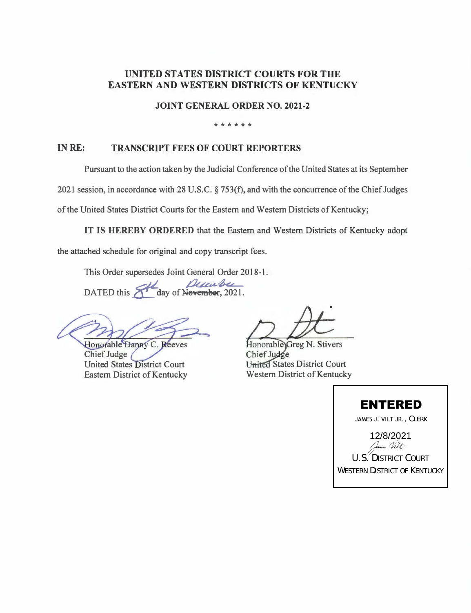## **UNITED STATES DISTRICT COURTS FOR THE EASTERN AND WESTERN DISTRICTS OF KENTUCKY**

**JOINT GENERAL ORDER NO. 2021-2** 

## \*\*\*\*\*\*

## **INRE: TRANSCRIPT FEES OF COURT REPORTERS**

Pursuant to the action taken by the Judicial Conference of the United States at its September

2021 session, in accordance with 28 U.S.C. § 753(f), and with the concurrence of the Chief Judges

of the United States District Courts for the Eastern and Western Districts of Kentucky;

**IT IS HEREBY ORDERED** that the Eastern and Western Districts of Kentucky adopt

the attached schedule for original and copy transcript fees.

This Order supersedes Joint General Order 2018-1.

DATED this **of day** of Nevember, 2021.

Honorable Danny C. Reeves

Chief Judge United States District Court Eastern District of Kentucky

•

Honorable Greg N. Stivers Chief Judge United States District Court Western District of Kentucky

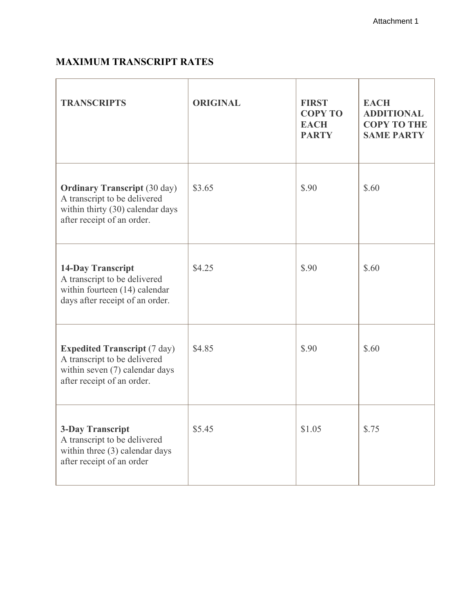## **MAXIMUM TRANSCRIPT RATES**

| <b>TRANSCRIPTS</b>                                                                                                                    | <b>ORIGINAL</b> | <b>FIRST</b><br><b>COPY TO</b><br><b>EACH</b><br><b>PARTY</b> | <b>EACH</b><br><b>ADDITIONAL</b><br><b>COPY TO THE</b><br><b>SAME PARTY</b> |
|---------------------------------------------------------------------------------------------------------------------------------------|-----------------|---------------------------------------------------------------|-----------------------------------------------------------------------------|
| <b>Ordinary Transcript (30 day)</b><br>A transcript to be delivered<br>within thirty (30) calendar days<br>after receipt of an order. | \$3.65          | \$.90                                                         | \$.60                                                                       |
| <b>14-Day Transcript</b><br>A transcript to be delivered<br>within fourteen (14) calendar<br>days after receipt of an order.          | \$4.25          | \$.90                                                         | \$.60                                                                       |
| <b>Expedited Transcript (7 day)</b><br>A transcript to be delivered<br>within seven (7) calendar days<br>after receipt of an order.   | \$4.85          | \$.90                                                         | \$.60                                                                       |
| <b>3-Day Transcript</b><br>A transcript to be delivered<br>within three (3) calendar days<br>after receipt of an order                | \$5.45          | \$1.05                                                        | \$.75                                                                       |